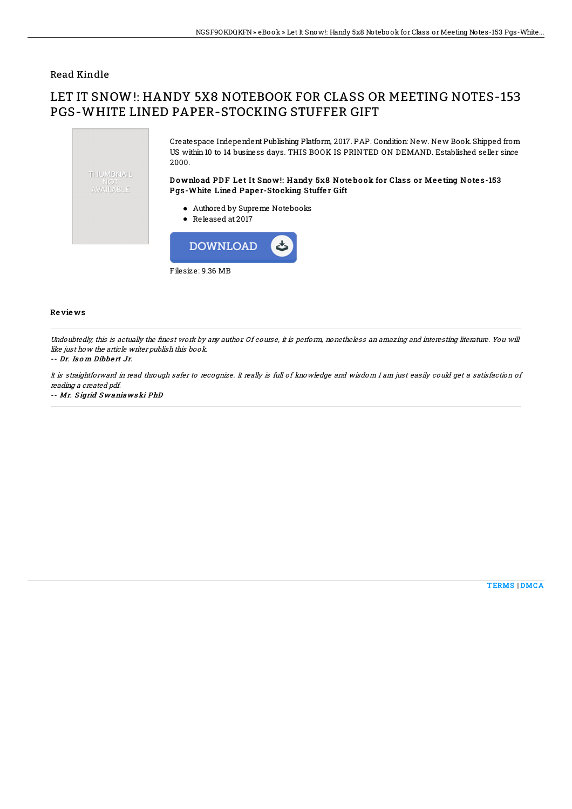### Read Kindle

# LET IT SNOW!: HANDY 5X8 NOTEBOOK FOR CLASS OR MEETING NOTES-153 PGS-WHITE LINED PAPER-STOCKING STUFFER GIFT



Filesize: 9.36 MB

#### Re vie ws

Undoubtedly, this is actually the finest work by any author. Of course, it is perform, nonetheless an amazing and interesting literature. You will like just how the article writer publish this book.

#### -- Dr. Is o <sup>m</sup> Dibbe rt Jr.

It is straightforward in read through safer to recognize. It really is full of knowledge and wisdom I am just easily could get <sup>a</sup> satisfaction of reading <sup>a</sup> created pdf.

-- Mr. S igrid S waniaws ki PhD